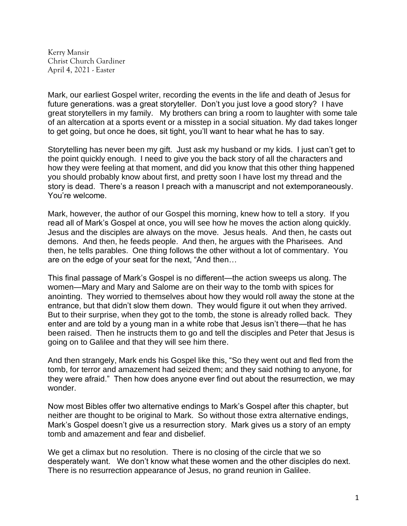Kerry Mansir Christ Church Gardiner April 4, 2021 - Easter

Mark, our earliest Gospel writer, recording the events in the life and death of Jesus for future generations. was a great storyteller. Don't you just love a good story? I have great storytellers in my family. My brothers can bring a room to laughter with some tale of an altercation at a sports event or a misstep in a social situation. My dad takes longer to get going, but once he does, sit tight, you'll want to hear what he has to say.

Storytelling has never been my gift. Just ask my husband or my kids. I just can't get to the point quickly enough. I need to give you the back story of all the characters and how they were feeling at that moment, and did you know that this other thing happened you should probably know about first, and pretty soon I have lost my thread and the story is dead. There's a reason I preach with a manuscript and not extemporaneously. You're welcome.

Mark, however, the author of our Gospel this morning, knew how to tell a story. If you read all of Mark's Gospel at once, you will see how he moves the action along quickly. Jesus and the disciples are always on the move. Jesus heals. And then, he casts out demons. And then, he feeds people. And then, he argues with the Pharisees. And then, he tells parables. One thing follows the other without a lot of commentary. You are on the edge of your seat for the next, "And then…

This final passage of Mark's Gospel is no different—the action sweeps us along. The women—Mary and Mary and Salome are on their way to the tomb with spices for anointing. They worried to themselves about how they would roll away the stone at the entrance, but that didn't slow them down. They would figure it out when they arrived. But to their surprise, when they got to the tomb, the stone is already rolled back. They enter and are told by a young man in a white robe that Jesus isn't there—that he has been raised. Then he instructs them to go and tell the disciples and Peter that Jesus is going on to Galilee and that they will see him there.

And then strangely, Mark ends his Gospel like this, "So they went out and fled from the tomb, for terror and amazement had seized them; and they said nothing to anyone, for they were afraid." Then how does anyone ever find out about the resurrection, we may wonder.

Now most Bibles offer two alternative endings to Mark's Gospel after this chapter, but neither are thought to be original to Mark. So without those extra alternative endings, Mark's Gospel doesn't give us a resurrection story. Mark gives us a story of an empty tomb and amazement and fear and disbelief.

We get a climax but no resolution. There is no closing of the circle that we so desperately want. We don't know what these women and the other disciples do next. There is no resurrection appearance of Jesus, no grand reunion in Galilee.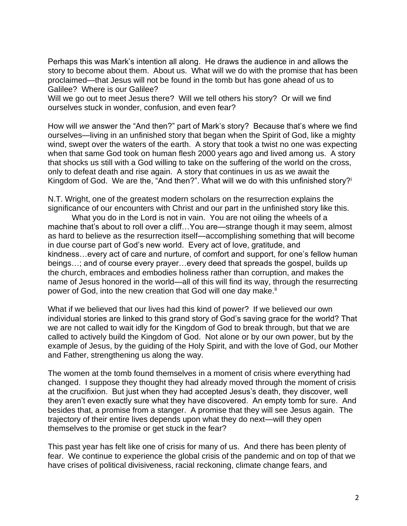Perhaps this was Mark's intention all along. He draws the audience in and allows the story to become about them. About us. What will we do with the promise that has been proclaimed—that Jesus will not be found in the tomb but has gone ahead of us to Galilee? Where is our Galilee?

Will we go out to meet Jesus there? Will we tell others his story? Or will we find ourselves stuck in wonder, confusion, and even fear?

How will *we* answer the "And then?" part of Mark's story? Because that's where we find ourselves—living in an unfinished story that began when the Spirit of God, like a mighty wind, swept over the waters of the earth. A story that took a twist no one was expecting when that same God took on human flesh 2000 years ago and lived among us. A story that shocks us still with a God willing to take on the suffering of the world on the cross, only to defeat death and rise again. A story that continues in us as we await the Kingdom of God. We are the, "And then?". What will we do with this unfinished story?<sup>i</sup>

N.T. Wright, one of the greatest modern scholars on the resurrection explains the significance of our encounters with Christ and our part in the unfinished story like this.

What you do in the Lord is not in vain. You are not oiling the wheels of a machine that's about to roll over a cliff…You are—strange though it may seem, almost as hard to believe as the resurrection itself—accomplishing something that will become in due course part of God's new world. Every act of love, gratitude, and kindness…every act of care and nurture, of comfort and support, for one's fellow human beings…; and of course every prayer…every deed that spreads the gospel, builds up the church, embraces and embodies holiness rather than corruption, and makes the name of Jesus honored in the world—all of this will find its way, through the resurrecting power of God, into the new creation that God will one day make.<sup>ii</sup>

What if we believed that our lives had this kind of power? If we believed our own individual stories are linked to this grand story of God's saving grace for the world? That we are not called to wait idly for the Kingdom of God to break through, but that we are called to actively build the Kingdom of God. Not alone or by our own power, but by the example of Jesus, by the guiding of the Holy Spirit, and with the love of God, our Mother and Father, strengthening us along the way.

The women at the tomb found themselves in a moment of crisis where everything had changed. I suppose they thought they had already moved through the moment of crisis at the crucifixion. But just when they had accepted Jesus's death, they discover, well they aren't even exactly sure what they have discovered. An empty tomb for sure. And besides that, a promise from a stanger. A promise that they will see Jesus again. The trajectory of their entire lives depends upon what they do next—will they open themselves to the promise or get stuck in the fear?

This past year has felt like one of crisis for many of us. And there has been plenty of fear. We continue to experience the global crisis of the pandemic and on top of that we have crises of political divisiveness, racial reckoning, climate change fears, and